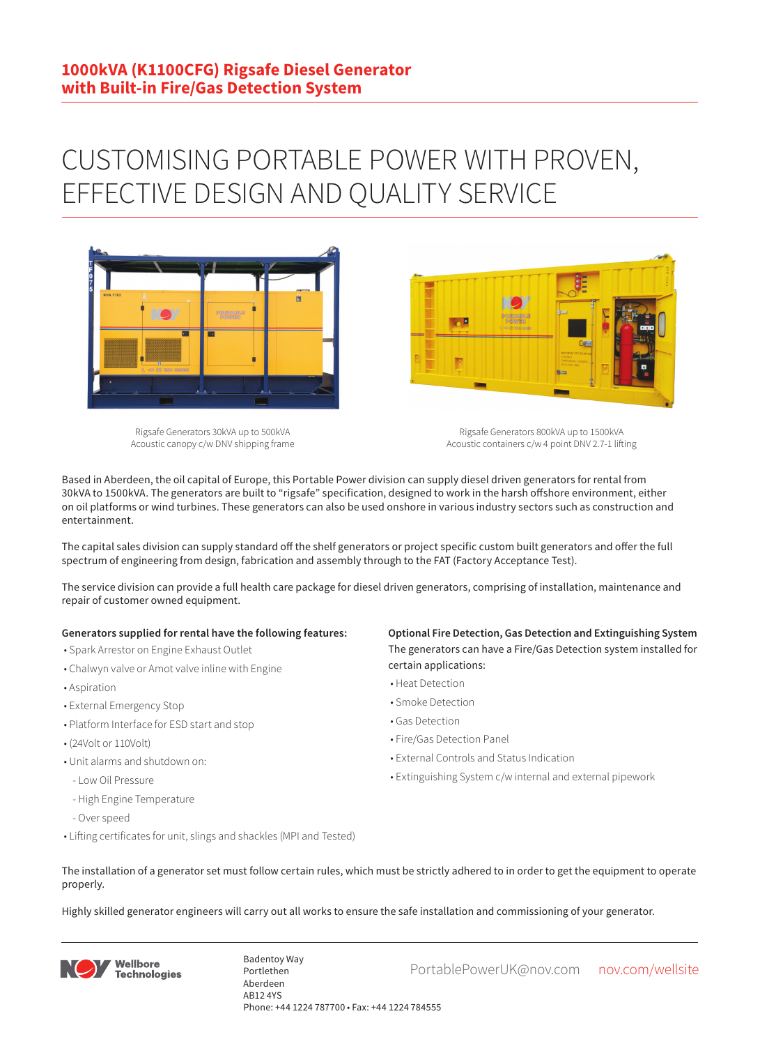## CUSTOMISING PORTABLE POWER WITH PROVEN, EFFECTIVE DESIGN AND QUALITY SERVICE



Rigsafe Generators 30kVA up to 500kVA Acoustic canopy c/w DNV shipping frame Rigsafe Generators 800kVA up to 1500kVA

Acoustic containers c/w 4 point DNV 2.7-1 lifting

Based in Aberdeen, the oil capital of Europe, this Portable Power division can supply diesel driven generators for rental from 30kVA to 1500kVA. The generators are built to "rigsafe" specification, designed to work in the harsh offshore environment, either on oil platforms or wind turbines. These generators can also be used onshore in various industry sectors such as construction and entertainment.

The capital sales division can supply standard off the shelf generators or project specific custom built generators and offer the full spectrum of engineering from design, fabrication and assembly through to the FAT (Factory Acceptance Test).

The service division can provide a full health care package for diesel driven generators, comprising of installation, maintenance and repair of customer owned equipment.

## **Generators supplied for rental have the following features:**

- Spark Arrestor on Engine Exhaust Outlet
- Chalwyn valve or Amot valve inline with Engine
- Aspiration
- External Emergency Stop
- Platform Interface for ESD start and stop
- (24Volt or 110Volt)
- Unit alarms and shutdown on:
- Low Oil Pressure
- High Engine Temperature
- Over speed
- Lifting certificates for unit, slings and shackles (MPI and Tested)

**Optional Fire Detection, Gas Detection and Extinguishing System** The generators can have a Fire/Gas Detection system installed for certain applications:

- Heat Detection
- Smoke Detection
- Gas Detection
- Fire/Gas Detection Panel

**Designation** 

- External Controls and Status Indication
- Extinguishing System c/w internal and external pipework
- The installation of a generator set must follow certain rules, which must be strictly adhered to in order to get the equipment to operate properly.

Highly skilled generator engineers will carry out all works to ensure the safe installation and commissioning of your generator.



Badentoy Way<br>PortablePowerUK@nov.com nov.com/wellsite Portlethen Aberdeen AB12 4YS Phone: +44 1224 787700 • Fax: +44 1224 784555